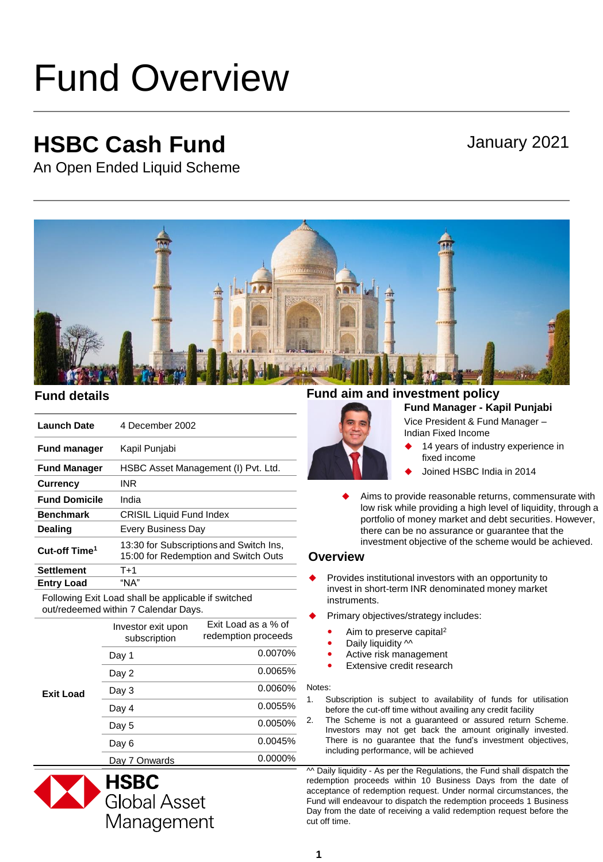# Fund Overview

## **HSBC Cash Fund**

### January 2021

An Open Ended Liquid Scheme



| <b>Launch Date</b>        | 4 December 2002                                                                 |
|---------------------------|---------------------------------------------------------------------------------|
| <b>Fund manager</b>       | Kapil Punjabi                                                                   |
| <b>Fund Manager</b>       | HSBC Asset Management (I) Pvt. Ltd.                                             |
| <b>Currency</b>           | INR                                                                             |
| <b>Fund Domicile</b>      | India                                                                           |
| <b>Benchmark</b>          | <b>CRISIL Liquid Fund Index</b>                                                 |
| Dealing                   | Every Business Day                                                              |
| Cut-off Time <sup>1</sup> | 13:30 for Subscriptions and Switch Ins,<br>15:00 for Redemption and Switch Outs |
| <b>Settlement</b>         | $T+1$                                                                           |
| <b>Entry Load</b>         | "NA"                                                                            |

Following Exit Load shall be applicable if switched out/redeemed within 7 Calendar Days.

| Exit Load | Investor exit upon<br>subscription | Exit Load as a % of<br>redemption proceeds |
|-----------|------------------------------------|--------------------------------------------|
|           | Day 1                              | 0.0070%                                    |
|           | Day 2                              | 0.0065%                                    |
|           | Day 3                              | $0.0060\%$                                 |
|           | Day 4                              | 0.0055%                                    |
|           | Day 5                              | $0.0050\%$                                 |
|           | Day 6                              | 0.0045%                                    |
|           | Day 7 Onwards                      | 0.0000%                                    |



#### **Fund Manager - Kapil Punjabi Fund details Fund aim and investment policy**



Vice President & Fund Manager – Indian Fixed Income

- 14 years of industry experience in fixed income
- Joined HSBC India in 2014
- Aims to provide reasonable returns, commensurate with low risk while providing a high level of liquidity, through a portfolio of money market and debt securities. However, there can be no assurance or guarantee that the investment objective of the scheme would be achieved.

#### **Overview**

- Provides institutional investors with an opportunity to invest in short-term INR denominated money market instruments.
- Primary objectives/strategy includes:
	- Aim to preserve capital<sup>2</sup>
	- Daily liquidity  $\sim$
	- Active risk management
	- Extensive credit research

#### Notes:

- 1. Subscription is subject to availability of funds for utilisation before the cut-off time without availing any credit facility
- 2. The Scheme is not a guaranteed or assured return Scheme. Investors may not get back the amount originally invested. There is no guarantee that the fund's investment objectives, including performance, will be achieved

 $\sim$  Daily liquidity - As per the Regulations, the Fund shall dispatch the redemption proceeds within 10 Business Days from the date of acceptance of redemption request. Under normal circumstances, the Fund will endeavour to dispatch the redemption proceeds 1 Business Day from the date of receiving a valid redemption request before the cut off time.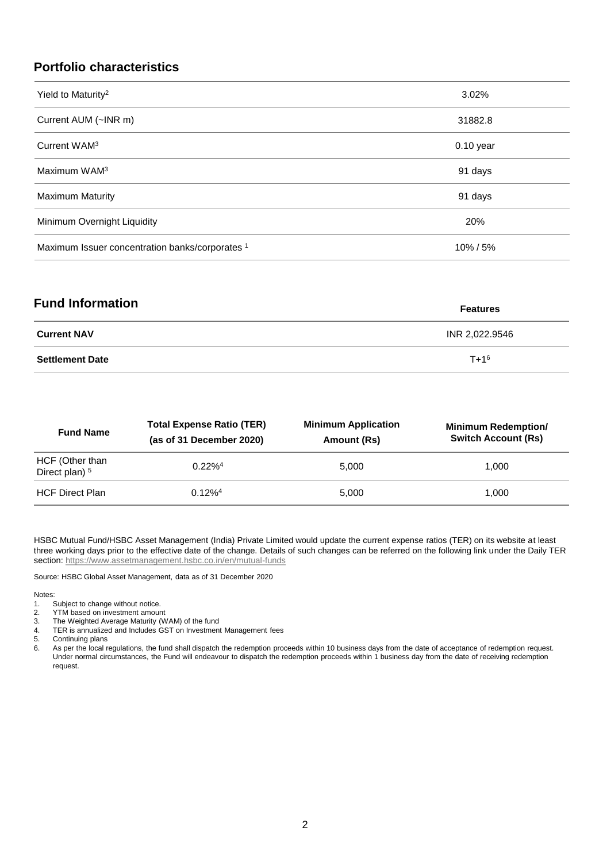#### **Portfolio characteristics**

| Yield to Maturity <sup>2</sup>                  | 3.02%       |
|-------------------------------------------------|-------------|
| Current AUM (~INR m)                            | 31882.8     |
| Current WAM <sup>3</sup>                        | $0.10$ year |
| Maximum WAM <sup>3</sup>                        | 91 days     |
| <b>Maximum Maturity</b>                         | 91 days     |
| Minimum Overnight Liquidity                     | 20%         |
| Maximum Issuer concentration banks/corporates 1 | 10%/5%      |

| <b>Fund Information</b> | <b>Features</b> |
|-------------------------|-----------------|
| <b>Current NAV</b>      | INR 2,022.9546  |
| <b>Settlement Date</b>  | $T + 1^6$       |

| <b>Fund Name</b>                             | <b>Total Expense Ratio (TER)</b><br>(as of 31 December 2020) | <b>Minimum Application</b><br>Amount (Rs) | <b>Minimum Redemption/</b><br><b>Switch Account (Rs)</b> |
|----------------------------------------------|--------------------------------------------------------------|-------------------------------------------|----------------------------------------------------------|
| HCF (Other than<br>Direct plan) <sup>5</sup> | $0.22\%$ <sup>4</sup>                                        | 5.000                                     | 1.000                                                    |
| <b>HCF Direct Plan</b>                       | $0.12\%$ <sup>4</sup>                                        | 5.000                                     | 1.000                                                    |

HSBC Mutual Fund/HSBC Asset Management (India) Private Limited would update the current expense ratios (TER) on its website at least three working days prior to the effective date of the change. Details of such changes can be referred on the following link under the Daily TER section:<https://www.assetmanagement.hsbc.co.in/en/mutual-funds>

Source: HSBC Global Asset Management, data as of 31 December 2020

#### Notes:

1. Subject to change without notice.<br>2. YTM based on investment amour

- 2. YTM based on investment amount<br>3. The Weighted Average Maturity (W
- 3. The Weighted Average Maturity (WAM) of the fund
- 4. TER is annualized and Includes GST on Investment Management fees
- 5. Continuing plans
- 6. As per the local regulations, the fund shall dispatch the redemption proceeds within 10 business days from the date of acceptance of redemption request. Under normal circumstances, the Fund will endeavour to dispatch the redemption proceeds within 1 business day from the date of receiving redemption request.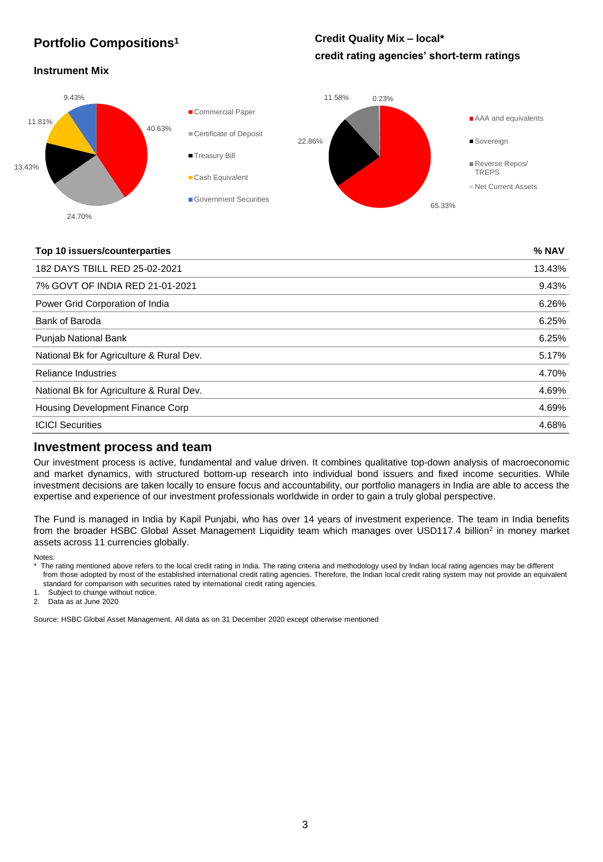#### **Portfolio Compositions<sup>1</sup>**

#### **Credit Quality Mix – local\* credit rating agencies' short-term ratings**

#### **Instrument Mix**



#### **Top 10 issuers/counterparties % NAV**

| 182 DAYS TBILL RED 25-02-2021            | 13.43% |
|------------------------------------------|--------|
| 7% GOVT OF INDIA RED 21-01-2021          | 9.43%  |
| Power Grid Corporation of India          | 6.26%  |
| Bank of Baroda                           | 6.25%  |
| <b>Punjab National Bank</b>              | 6.25%  |
| National Bk for Agriculture & Rural Dev. | 5.17%  |
| <b>Reliance Industries</b>               | 4.70%  |
| National Bk for Agriculture & Rural Dev. | 4.69%  |
| Housing Development Finance Corp         | 4.69%  |
| <b>ICICI Securities</b>                  | 4.68%  |
|                                          |        |

#### **Investment process and team**

Our investment process is active, fundamental and value driven. It combines qualitative top-down analysis of macroeconomic and market dynamics, with structured bottom-up research into individual bond issuers and fixed income securities. While investment decisions are taken locally to ensure focus and accountability, our portfolio managers in India are able to access the expertise and experience of our investment professionals worldwide in order to gain a truly global perspective.

The Fund is managed in India by Kapil Punjabi, who has over 14 years of investment experience. The team in India benefits from the broader HSBC Global Asset Management Liquidity team which manages over USD117.4 billion<sup>2</sup> in money market assets across 11 currencies globally.

Notes:

\* The rating mentioned above refers to the local credit rating in India. The rating criteria and methodology used by Indian local rating agencies may be different from those adopted by most of the established international credit rating agencies. Therefore, the Indian local credit rating system may not provide an equivalent standard for comparison with securities rated by international credit rating agencies.

1. Subject to change without notice.

2. Data as at June 2020

Source: HSBC Global Asset Management, All data as on 31 December 2020 except otherwise mentioned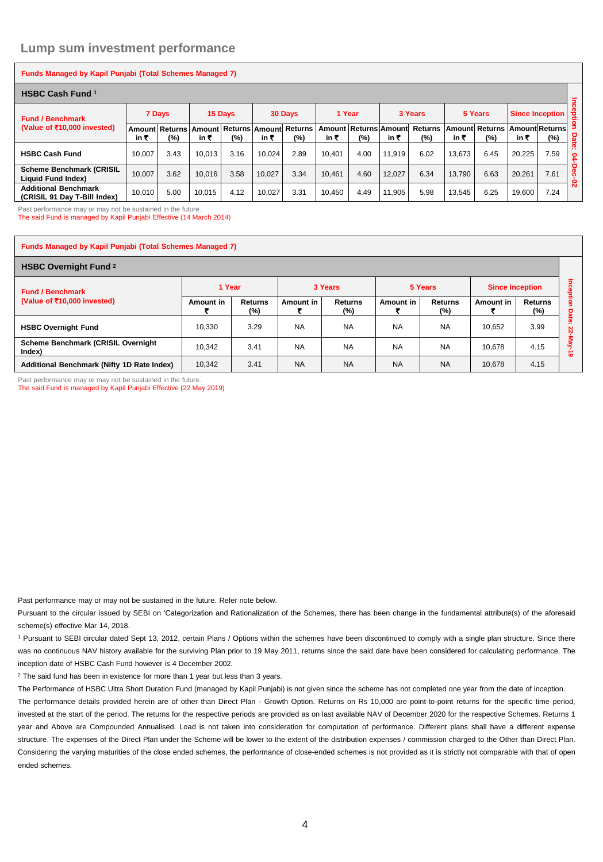#### **Lump sum investment performance**

| <b>Funds Managed by Kapil Punjabi (Total Schemes Managed 7)</b> |        |        |                                                      |         |        |         |        |                              |        |                          |        |                                         |                        |        |          |
|-----------------------------------------------------------------|--------|--------|------------------------------------------------------|---------|--------|---------|--------|------------------------------|--------|--------------------------|--------|-----------------------------------------|------------------------|--------|----------|
| <b>HSBC Cash Fund 1</b>                                         |        |        |                                                      |         |        |         |        |                              |        | $\overline{a}$           |        |                                         |                        |        |          |
| <b>Fund / Benchmark</b>                                         |        | 7 Days |                                                      | 15 Days |        | 30 Days | 1 Year |                              |        | 3 Years                  |        | 5 Years                                 | <b>Since Inception</b> |        | ë        |
| (Value of ₹10,000 invested)                                     | in ₹   | $(\%)$ | Amount Returns Amount Returns Amount Returns<br>in ₹ | $(\%)$  | in ₹   | (%)     | in ₹   | Amount Returns Amount<br>(%) | in ₹   | <b>Returns</b><br>$(\%)$ | in ₹   | ∣Amount∣ Returns ∣Amount∣Returns<br>(%) | in₹                    | $(\%)$ | Date     |
| <b>HSBC Cash Fund</b>                                           | 10.007 | 3.43   | 10.013                                               | 3.16    | 10.024 | 2.89    | 10.401 | 4.00                         | 11.919 | 6.02                     | 13.673 | 6.45                                    | 20.225                 | 7.59   | ÷<br>£,  |
| <b>Scheme Benchmark (CRISIL</b><br>Liquid Fund Index)           | 10.007 | 3.62   | 10.016                                               | 3.58    | 10.027 | 3.34    | 10.461 | 4.60                         | 12.027 | 6.34                     | 13.790 | 6.63                                    | 20.261                 | 7.61   | Dec<br>Ò |
| <b>Additional Benchmark</b><br>(CRISIL 91 Dav T-Bill Index)     | 10,010 | 5.00   | 10.015                                               | 4.12    | 10.027 | 3.31    | 10.450 | 4.49                         | 11.905 | 5.98                     | 13.545 | 6.25                                    | 19,600                 | 7.24   | Ñ        |

Past performance may or may not be sustained in the future.

The said Fund is managed by Kapil Punjabi Effective (14 March 2014)

#### **Funds Managed by Kapil Punjabi (Total Schemes Managed 7)**

| <b>HSBC Overnight Fund 2</b>                           |           |                          |           |                |           |                       |                        |                       |               |
|--------------------------------------------------------|-----------|--------------------------|-----------|----------------|-----------|-----------------------|------------------------|-----------------------|---------------|
| <b>Fund / Benchmark</b><br>(Value of ₹10,000 invested) | 1 Year    |                          |           | 3 Years        |           | 5 Years               | <b>Since Inception</b> |                       | Ξ<br>ဒ္ဓ<br>Õ |
|                                                        | Amount in | <b>Returns</b><br>$(\%)$ | Amount in | Returns<br>(%) | Amount in | <b>Returns</b><br>(%) | Amount in              | <b>Returns</b><br>(%) | ğ<br>o        |
| <b>HSBC Overnight Fund</b>                             | 10,330    | 3.29                     | <b>NA</b> | <b>NA</b>      | <b>NA</b> | <b>NA</b>             | 10,652                 | 3.99                  | we.<br>ន      |
| Scheme Benchmark (CRISIL Overnight<br>Index)           | 10.342    | 3.41                     | <b>NA</b> | <b>NA</b>      | <b>NA</b> | <b>NA</b>             | 10.678                 | 4.15                  | $\circ$       |
| Additional Benchmark (Nifty 1D Rate Index)             | 10,342    | 3.41                     | <b>NA</b> | <b>NA</b>      | <b>NA</b> | <b>NA</b>             | 10,678                 | 4.15                  |               |

Past performance may or may not be sustained in the future.

The said Fund is managed by Kapil Punjabi Effective (22 May 2019)

Past performance may or may not be sustained in the future. Refer note below.

Pursuant to the circular issued by SEBI on 'Categorization and Rationalization of the Schemes, there has been change in the fundamental attribute(s) of the aforesaid scheme(s) effective Mar 14, 2018.

<sup>1</sup> Pursuant to SEBI circular dated Sept 13, 2012, certain Plans / Options within the schemes have been discontinued to comply with a single plan structure. Since there was no continuous NAV history available for the surviving Plan prior to 19 May 2011, returns since the said date have been considered for calculating performance. The inception date of HSBC Cash Fund however is 4 December 2002.

<sup>2</sup> The said fund has been in existence for more than 1 year but less than 3 years.

The Performance of HSBC Ultra Short Duration Fund (managed by Kapil Punjabi) is not given since the scheme has not completed one year from the date of inception. The performance details provided herein are of other than Direct Plan - Growth Option. Returns on Rs 10,000 are point-to-point returns for the specific time period, invested at the start of the period. The returns for the respective periods are provided as on last available NAV of December 2020 for the respective Schemes. Returns 1 year and Above are Compounded Annualised. Load is not taken into consideration for computation of performance. Different plans shall have a different expense structure. The expenses of the Direct Plan under the Scheme will be lower to the extent of the distribution expenses / commission charged to the Other than Direct Plan. Considering the varying maturities of the close ended schemes, the performance of close-ended schemes is not provided as it is strictly not comparable with that of open ended schemes.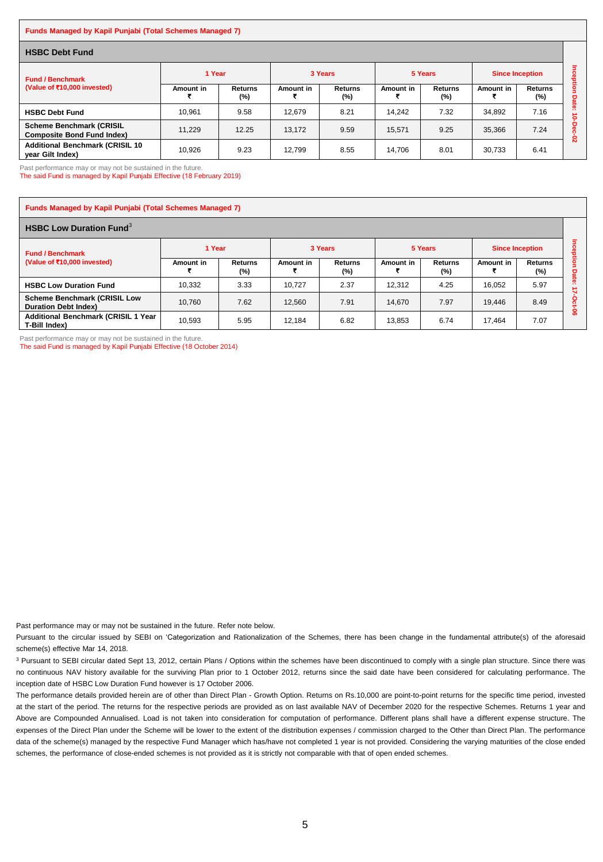#### **Funds Managed by Kapil Punjabi (Total Schemes Managed 7)**

| <b>HSBC Debt Fund</b>                                                |           |                          |           |                       |           |                |                        |                |                   |
|----------------------------------------------------------------------|-----------|--------------------------|-----------|-----------------------|-----------|----------------|------------------------|----------------|-------------------|
| <b>Fund / Benchmark</b><br>(Value of ₹10,000 invested)               | 1 Year    |                          | 3 Years   |                       | 5 Years   |                | <b>Since Inception</b> |                | <b>Pos</b><br>훀   |
|                                                                      | Amount in | <b>Returns</b><br>$(\%)$ | Amount in | <b>Returns</b><br>(%) | Amount in | Returns<br>(%) | Amount in              | Returns<br>(%) | g<br><b>Date:</b> |
| <b>HSBC Debt Fund</b>                                                | 10,961    | 9.58                     | 12,679    | 8.21                  | 14.242    | 7.32           | 34,892                 | 7.16           | $\circ$           |
| <b>Scheme Benchmark (CRISIL</b><br><b>Composite Bond Fund Index)</b> | 11.229    | 12.25                    | 13.172    | 9.59                  | 15.571    | 9.25           | 35.366                 | 7.24           | $\circ$<br>ន      |
| <b>Additional Benchmark (CRISIL 10)</b><br>year Gilt Index)          | 10.926    | 9.23                     | 12.799    | 8.55                  | 14.706    | 8.01           | 30.733                 | 6.41           |                   |

Past performance may or may not be sustained in the future.

The said Fund is managed by Kapil Punjabi Effective (18 February 2019)

| <b>Funds Managed by Kapil Punjabi (Total Schemes Managed 7)</b>    |           |                          |           |                       |           |                       |                        |                          |        |
|--------------------------------------------------------------------|-----------|--------------------------|-----------|-----------------------|-----------|-----------------------|------------------------|--------------------------|--------|
| <b>HSBC Low Duration Fund</b> <sup>3</sup>                         |           |                          |           |                       |           |                       |                        |                          |        |
| <b>Fund / Benchmark</b><br>(Value of ₹10,000 invested)             | 1 Year    |                          | 3 Years   |                       | 5 Years   |                       | <b>Since Inception</b> |                          |        |
|                                                                    | Amount in | <b>Returns</b><br>$(\%)$ | Amount in | <b>Returns</b><br>(%) | Amount in | <b>Returns</b><br>(%) | Amount in              | <b>Returns</b><br>$(\%)$ | Dat    |
| <b>HSBC Low Duration Fund</b>                                      | 10.332    | 3.33                     | 10.727    | 2.37                  | 12.312    | 4.25                  | 16.052                 | 5.97                     | $\sim$ |
| <b>Scheme Benchmark (CRISIL Low</b><br><b>Duration Debt Index)</b> | 10.760    | 7.62                     | 12.560    | 7.91                  | 14.670    | 7.97                  | 19.446                 | 8.49                     |        |
| Additional Benchmark (CRISIL 1 Year<br>T-Bill Index)               | 10,593    | 5.95                     | 12.184    | 6.82                  | 13,853    | 6.74                  | 17.464                 | 7.07                     | ႜ      |

Past performance may or may not be sustained in the future.

The said Fund is managed by Kapil Punjabi Effective (18 October 2014)

Past performance may or may not be sustained in the future. Refer note below.

Pursuant to the circular issued by SEBI on 'Categorization and Rationalization of the Schemes, there has been change in the fundamental attribute(s) of the aforesaid scheme(s) effective Mar 14, 2018.

<sup>3</sup> Pursuant to SEBI circular dated Sept 13, 2012, certain Plans / Options within the schemes have been discontinued to comply with a single plan structure. Since there was no continuous NAV history available for the surviving Plan prior to 1 October 2012, returns since the said date have been considered for calculating performance. The inception date of HSBC Low Duration Fund however is 17 October 2006.

The performance details provided herein are of other than Direct Plan - Growth Option. Returns on Rs.10,000 are point-to-point returns for the specific time period, invested at the start of the period. The returns for the respective periods are provided as on last available NAV of December 2020 for the respective Schemes. Returns 1 year and Above are Compounded Annualised. Load is not taken into consideration for computation of performance. Different plans shall have a different expense structure. The expenses of the Direct Plan under the Scheme will be lower to the extent of the distribution expenses / commission charged to the Other than Direct Plan. The performance data of the scheme(s) managed by the respective Fund Manager which has/have not completed 1 year is not provided. Considering the varying maturities of the close ended schemes, the performance of close-ended schemes is not provided as it is strictly not comparable with that of open ended schemes.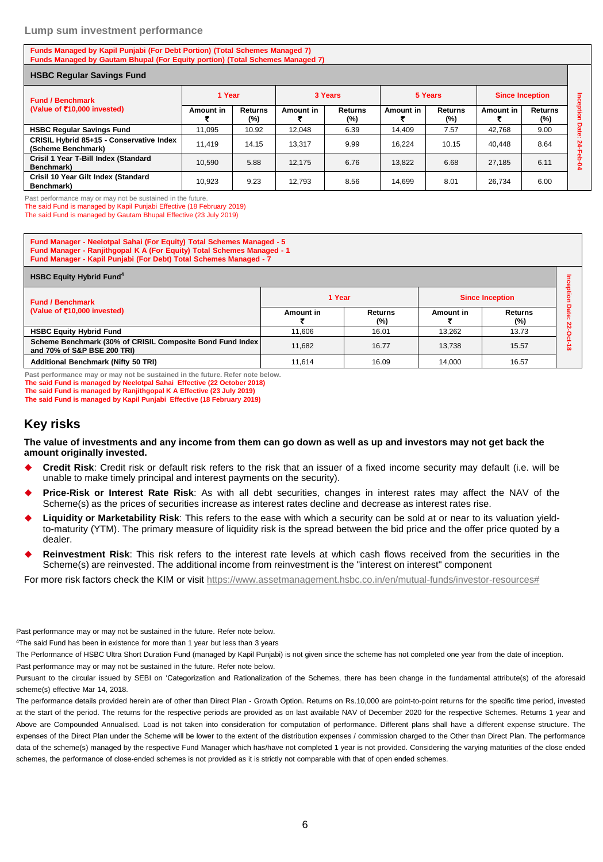#### **Lump sum investment performance**

**Funds Managed by Kapil Punjabi (For Debt Portion) (Total Schemes Managed 7) Funds Managed by Gautam Bhupal (For Equity portion) (Total Schemes Managed 7)**

| <b>HSBC Regular Savings Fund</b>                               |           |                |           |                          |                  |                       |                        |                       |              |
|----------------------------------------------------------------|-----------|----------------|-----------|--------------------------|------------------|-----------------------|------------------------|-----------------------|--------------|
| <b>Fund / Benchmark</b>                                        | 1 Year    |                | 3 Years   |                          | 5 Years          |                       | <b>Since Inception</b> |                       |              |
| (Value of ₹10,000 invested)                                    | Amount in | Returns<br>(%) | Amount in | <b>Returns</b><br>$(\%)$ | <b>Amount in</b> | <b>Returns</b><br>(%) | Amount in              | <b>Returns</b><br>(%) | Inception    |
| <b>HSBC Regular Savings Fund</b>                               | 11.095    | 10.92          | 12.048    | 6.39                     | 14.409           | 7.57                  | 42.768                 | 9.00                  | <b>Date:</b> |
| CRISIL Hybrid 85+15 - Conservative Index<br>(Scheme Benchmark) | 11.419    | 14.15          | 13.317    | 9.99                     | 16.224           | 10.15                 | 40.448                 | 8.64                  | 21<br>╖      |
| Crisil 1 Year T-Bill Index (Standard<br>Benchmark)             | 10.590    | 5.88           | 12.175    | 6.76                     | 13.822           | 6.68                  | 27.185                 | 6.11                  |              |
| Crisil 10 Year Gilt Index (Standard<br>Benchmark)              | 10.923    | 9.23           | 12.793    | 8.56                     | 14.699           | 8.01                  | 26.734                 | 6.00                  |              |

Past performance may or may not be sustained in the future.

The said Fund is managed by Kapil Punjabi Effective (18 February 2019)

The said Fund is managed by Gautam Bhupal Effective (23 July 2019)

**Fund Manager - Neelotpal Sahai (For Equity) Total Schemes Managed - 5 Fund Manager - Ranjithgopal K A (For Equity) Total Schemes Managed - 1 Fund Manager - Kapil Punjabi (For Debt) Total Schemes Managed - 7**

| <b>HSBC Equity Hybrid Fund<sup>4</sup></b>                                               |           |                   |           |                          |          |  |  |  |  |
|------------------------------------------------------------------------------------------|-----------|-------------------|-----------|--------------------------|----------|--|--|--|--|
| <b>Fund / Benchmark</b>                                                                  | 1 Year    |                   |           | <b>Since Inception</b>   |          |  |  |  |  |
| (Value of ₹10,000 invested)                                                              | Amount in | Returns<br>$(\%)$ | Amount in | <b>Returns</b><br>$(\%)$ |          |  |  |  |  |
| <b>HSBC Equity Hybrid Fund</b>                                                           | 11.606    | 16.01             | 13.262    | 13.73                    |          |  |  |  |  |
| Scheme Benchmark (30% of CRISIL Composite Bond Fund Index<br>and 70% of S&P BSE 200 TRI) | 11.682    | 16.77             | 13.738    | 15.57                    | $\infty$ |  |  |  |  |
| <b>Additional Benchmark (Nifty 50 TRI)</b>                                               | 11.614    | 16.09             | 14.000    | 16.57                    |          |  |  |  |  |

**Past performance may or may not be sustained in the future. Refer note below. The said Fund is managed by Neelotpal Sahai Effective (22 October 2018) The said Fund is managed by Ranjithgopal K A Effective (23 July 2019)**

**The said Fund is managed by Kapil Punjabi Effective (18 February 2019)**

#### **Key risks**

**The value of investments and any income from them can go down as well as up and investors may not get back the amount originally invested.** 

- **Credit Risk**: Credit risk or default risk refers to the risk that an issuer of a fixed income security may default (i.e. will be unable to make timely principal and interest payments on the security).
- **Price-Risk or Interest Rate Risk**: As with all debt securities, changes in interest rates may affect the NAV of the Scheme(s) as the prices of securities increase as interest rates decline and decrease as interest rates rise.
- **Liquidity or Marketability Risk**: This refers to the ease with which a security can be sold at or near to its valuation yieldto-maturity (YTM). The primary measure of liquidity risk is the spread between the bid price and the offer price quoted by a dealer.
- **Reinvestment Risk**: This risk refers to the interest rate levels at which cash flows received from the securities in the Scheme(s) are reinvested. The additional income from reinvestment is the "interest on interest" component

For more risk factors check the KIM or visit [https://www.assetmanagement.hsbc.co.in/en/mutual-funds/investor-resources#](https://www.assetmanagement.hsbc.co.in/en/mutual-funds/investor-resources)

Past performance may or may not be sustained in the future. Refer note below.

<sup>4</sup>The said Fund has been in existence for more than 1 year but less than 3 years

The Performance of HSBC Ultra Short Duration Fund (managed by Kapil Punjabi) is not given since the scheme has not completed one year from the date of inception. Past performance may or may not be sustained in the future. Refer note below.

Pursuant to the circular issued by SEBI on 'Categorization and Rationalization of the Schemes, there has been change in the fundamental attribute(s) of the aforesaid scheme(s) effective Mar 14, 2018.

The performance details provided herein are of other than Direct Plan - Growth Option. Returns on Rs.10,000 are point-to-point returns for the specific time period, invested at the start of the period. The returns for the respective periods are provided as on last available NAV of December 2020 for the respective Schemes. Returns 1 year and Above are Compounded Annualised. Load is not taken into consideration for computation of performance. Different plans shall have a different expense structure. The expenses of the Direct Plan under the Scheme will be lower to the extent of the distribution expenses / commission charged to the Other than Direct Plan. The performance data of the scheme(s) managed by the respective Fund Manager which has/have not completed 1 year is not provided. Considering the varying maturities of the close ended schemes, the performance of close-ended schemes is not provided as it is strictly not comparable with that of open ended schemes.